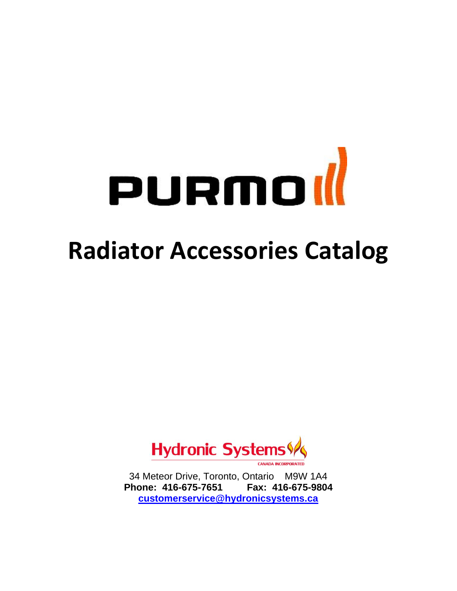# purmor

# **Radiator Accessories Catalog**



34 Meteor Drive, Toronto, Ontario M9W 1A4 **Phone: 416-675-7651 Fax: 416-675-9804 [customerservice@hydronicsystems.ca](mailto:customerservice@hydronicsystems.ca)**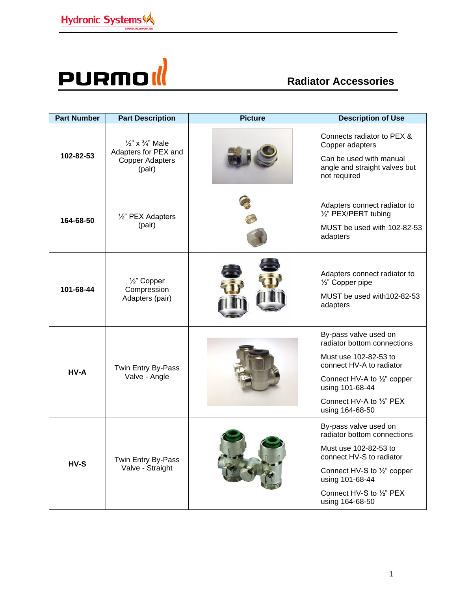

| <b>Part Number</b> | <b>Part Description</b>                                                                            | <b>Picture</b> | <b>Description of Use</b>                                                                                                                                                                                  |
|--------------------|----------------------------------------------------------------------------------------------------|----------------|------------------------------------------------------------------------------------------------------------------------------------------------------------------------------------------------------------|
| 102-82-53          | $\frac{1}{2}$ " x $\frac{3}{4}$ " Male<br>Adapters for PEX and<br><b>Copper Adapters</b><br>(pair) |                | Connects radiator to PEX &<br>Copper adapters<br>Can be used with manual<br>angle and straight valves but<br>not required                                                                                  |
| 164-68-50          | 1/2" PEX Adapters<br>(pair)                                                                        |                | Adapters connect radiator to<br>1/2" PEX/PERT tubing<br>MUST be used with 102-82-53<br>adapters                                                                                                            |
| 101-68-44          | 1/ <sub>2</sub> " Copper<br>Compression<br>Adapters (pair)                                         |                | Adapters connect radiator to<br>1/2" Copper pipe<br>MUST be used with 102-82-53<br>adapters                                                                                                                |
| HV-A               | Twin Entry By-Pass<br>Valve - Angle                                                                |                | By-pass valve used on<br>radiator bottom connections<br>Must use 102-82-53 to<br>connect HV-A to radiator<br>Connect HV-A to 1/2" copper<br>using 101-68-44<br>Connect HV-A to 1/2" PEX<br>using 164-68-50 |
| $HV-S$             | Twin Entry By-Pass<br>Valve - Straight                                                             |                | By-pass valve used on<br>radiator bottom connections<br>Must use 102-82-53 to<br>connect HV-S to radiator<br>Connect HV-S to 1/2" copper<br>using 101-68-44<br>Connect HV-S to 1/2" PEX<br>using 164-68-50 |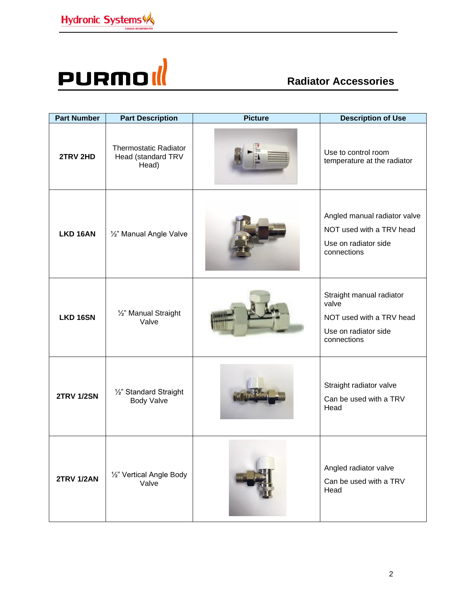

| <b>Part Number</b> | <b>Part Description</b>                                     | <b>Picture</b> | <b>Description of Use</b>                                                                            |
|--------------------|-------------------------------------------------------------|----------------|------------------------------------------------------------------------------------------------------|
| 2TRV 2HD           | <b>Thermostatic Radiator</b><br>Head (standard TRV<br>Head) |                | Use to control room<br>temperature at the radiator                                                   |
| <b>LKD 16AN</b>    | 1/2" Manual Angle Valve                                     |                | Angled manual radiator valve<br>NOT used with a TRV head<br>Use on radiator side<br>connections      |
| LKD 16SN           | 1/2" Manual Straight<br>Valve                               |                | Straight manual radiator<br>valve<br>NOT used with a TRV head<br>Use on radiator side<br>connections |
| <b>2TRV 1/2SN</b>  | 1/2" Standard Straight<br><b>Body Valve</b>                 |                | Straight radiator valve<br>Can be used with a TRV<br>Head                                            |
| <b>2TRV 1/2AN</b>  | 1/2" Vertical Angle Body<br>Valve                           |                | Angled radiator valve<br>Can be used with a TRV<br>Head                                              |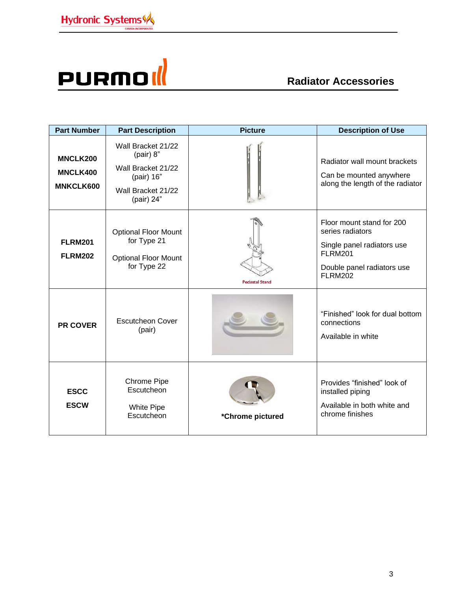

| <b>Part Number</b>                                     | <b>Part Description</b>                                                                                 | <b>Picture</b>        | <b>Description of Use</b>                                                                                                                     |
|--------------------------------------------------------|---------------------------------------------------------------------------------------------------------|-----------------------|-----------------------------------------------------------------------------------------------------------------------------------------------|
| <b>MNCLK200</b><br><b>MNCLK400</b><br><b>MNKCLK600</b> | Wall Bracket 21/22<br>(pair) 8"<br>Wall Bracket 21/22<br>(pair) 16"<br>Wall Bracket 21/22<br>(pair) 24" |                       | Radiator wall mount brackets<br>Can be mounted anywhere<br>along the length of the radiator                                                   |
| <b>FLRM201</b><br><b>FLRM202</b>                       | <b>Optional Floor Mount</b><br>for Type 21<br><b>Optional Floor Mount</b><br>for Type 22                | <b>Pedastal Stand</b> | Floor mount stand for 200<br>series radiators<br>Single panel radiators use<br><b>FLRM201</b><br>Double panel radiators use<br><b>FLRM202</b> |
| <b>PR COVER</b>                                        | <b>Escutcheon Cover</b><br>(pair)                                                                       |                       | "Finished" look for dual bottom<br>connections<br>Available in white                                                                          |
| <b>ESCC</b><br><b>ESCW</b>                             | <b>Chrome Pipe</b><br>Escutcheon<br><b>White Pipe</b><br>Escutcheon                                     | *Chrome pictured      | Provides "finished" look of<br>installed piping<br>Available in both white and<br>chrome finishes                                             |